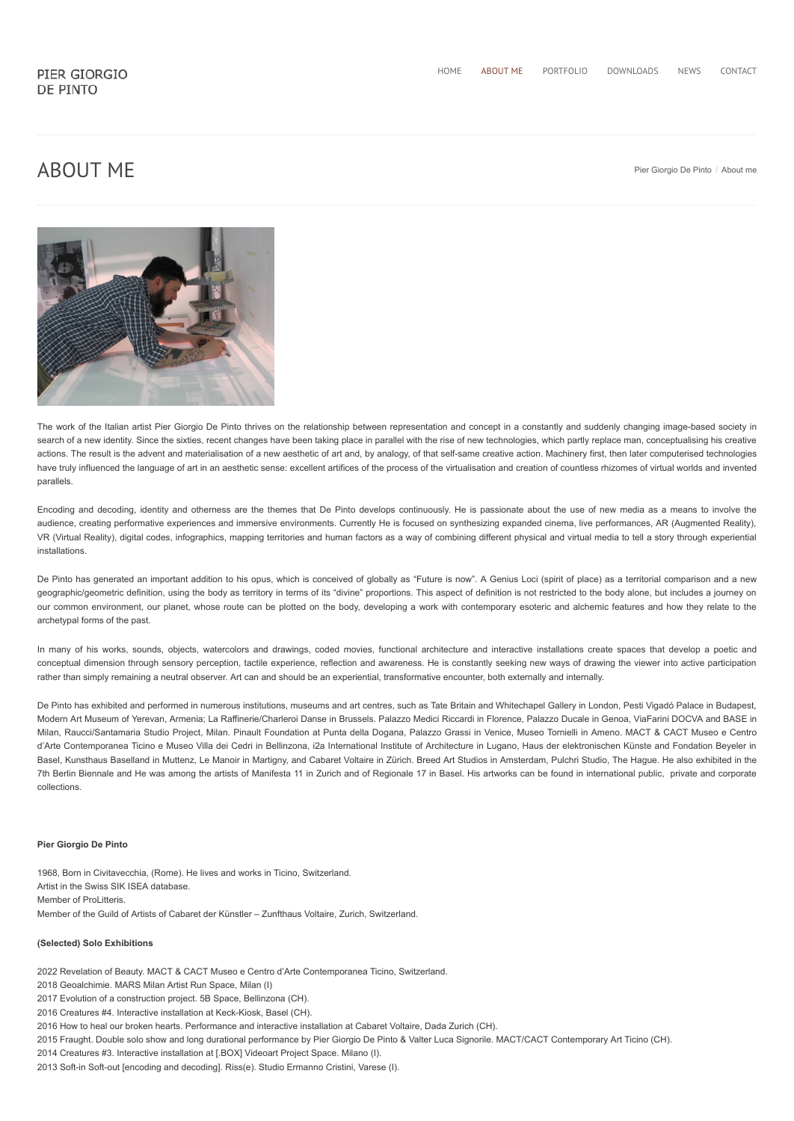# $\mathsf{ABOUT}\ \mathsf{ME}$  [Pier Giorgio De Pinto](https://www.depinto.it/) / About me



The work of the Italian artist Pier Giorgio De Pinto thrives on the relationship between representation and concept in a constantly and suddenly changing image-based society in search of a new identity. Since the sixties, recent changes have been taking place in parallel with the rise of new technologies, which partly replace man, conceptualising his creative actions. The result is the advent and materialisation of a new aesthetic of art and, by analogy, of that self-same creative action. Machinery first, then later computerised technologies have truly influenced the language of art in an aesthetic sense: excellent artifices of the process of the virtualisation and creation of countless rhizomes of virtual worlds and invented parallels.

Encoding and decoding, identity and otherness are the themes that De Pinto develops continuously. He is passionate about the use of new media as a means to involve the audience, creating performative experiences and immersive environments. Currently He is focused on synthesizing expanded cinema, live performances, AR (Augmented Reality), VR (Virtual Reality), digital codes, infographics, mapping territories and human factors as a way of combining different physical and virtual media to tell a story through experiential installations.

De Pinto has generated an important addition to his opus, which is conceived of globally as "Future is now". A Genius Loci (spirit of place) as a territorial comparison and a new geographic/geometric definition, using the body as territory in terms of its "divine" proportions. This aspect of definition is not restricted to the body alone, but includes a journey on our common environment, our planet, whose route can be plotted on the body, developing a work with contemporary esoteric and alchemic features and how they relate to the archetypal forms of the past.

In many of his works, sounds, objects, watercolors and drawings, coded movies, functional architecture and interactive installations create spaces that develop a poetic and conceptual dimension through sensory perception, tactile experience, reflection and awareness. He is constantly seeking new ways of drawing the viewer into active participation rather than simply remaining a neutral observer. Art can and should be an experiential, transformative encounter, both externally and internally.

De Pinto has exhibited and performed in numerous institutions, museums and art centres, such as Tate Britain and Whitechapel Gallery in London, Pesti Vigadó Palace in Budapest, Modern Art Museum of Yerevan, Armenia; La Raffinerie/Charleroi Danse in Brussels. Palazzo Medici Riccardi in Florence, Palazzo Ducale in Genoa, ViaFarini DOCVA and BASE in Milan, Raucci/Santamaria Studio Project, Milan. Pinault Foundation at Punta della Dogana, Palazzo Grassi in Venice, Museo Tornielli in Ameno. MACT & CACT Museo e Centro d'Arte Contemporanea Ticino e Museo Villa dei Cedri in Bellinzona, i2a International Institute of Architecture in Lugano, Haus der elektronischen Künste and Fondation Beyeler in Basel, Kunsthaus Baselland in Muttenz, Le Manoir in Martigny, and Cabaret Voltaire in Zürich. Breed Art Studios in Amsterdam, Pulchri Studio, The Hague. He also exhibited in the 7th Berlin Biennale and He was among the artists of Manifesta 11 in Zurich and of Regionale 17 in Basel. His artworks can be found in international public, private and corporate collections.

#### **Pier Giorgio De Pinto**

1968, Born in Civitavecchia, (Rome). He lives and works in Ticino, Switzerland. Artist in the Swiss SIK ISEA database. Member of ProLitteris. Member of the Guild of Artists of Cabaret der Künstler – Zunfthaus Voltaire, Zurich, Switzerland.

### **(Selected) Solo Exhibitions**

2022 Revelation of Beauty. MACT & CACT Museo e Centro d'Arte Contemporanea Ticino, Switzerland.

2018 Geoalchimie. MARS Milan Artist Run Space, Milan (I)

- 2017 Evolution of a construction project. 5B Space, Bellinzona (CH).
- 2016 Creatures #4. Interactive installation at Keck-Kiosk, Basel (CH).
- 2016 How to heal our broken hearts. Performance and interactive installation at Cabaret Voltaire, Dada Zurich (CH).
- 2015 Fraught. Double solo show and long durational performance by Pier Giorgio De Pinto & Valter Luca Signorile. MACT/CACT Contemporary Art Ticino (CH).
- 2014 Creatures #3. Interactive installation at [.BOX] Videoart Project Space. Milano (I).
- 2013 Soft-in Soft-out [encoding and decoding]. Riss(e). Studio Ermanno Cristini, Varese (I).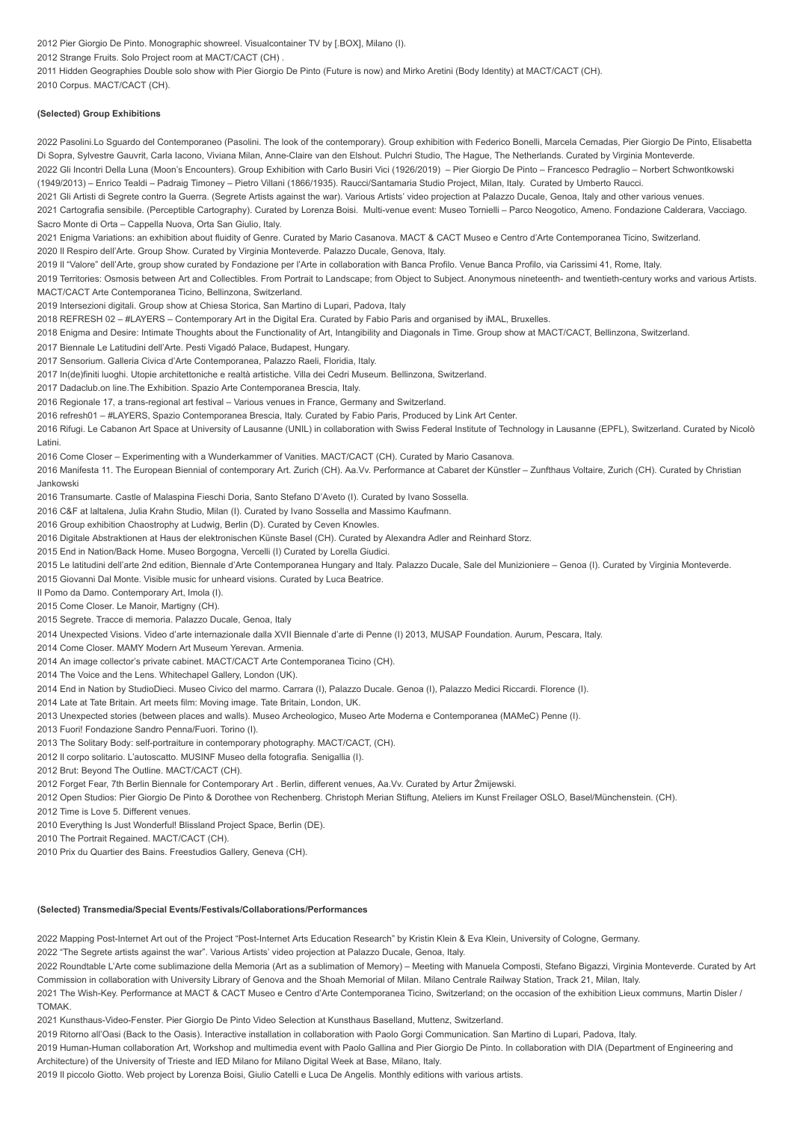2012 Pier Giorgio De Pinto. Monographic showreel. Visualcontainer TV by [.BOX], Milano (I). 2012 Strange Fruits. Solo Project room at MACT/CACT (CH) . 2011 Hidden Geographies Double solo show with Pier Giorgio De Pinto (Future is now) and Mirko Aretini (Body Identity) at MACT/CACT (CH). 2010 Corpus. MACT/CACT (CH).

#### **(Selected) Group Exhibitions**

2022 Pasolini.Lo Sguardo del Contemporaneo (Pasolini. The look of the contemporary). Group exhibition with Federico Bonelli, Marcela Cemadas, Pier Giorgio De Pinto, Elisabetta Di Sopra, Sylvestre Gauvrit, Carla Iacono, Viviana Milan, Anne-Claire van den Elshout. Pulchri Studio, The Hague, The Netherlands. Curated by Virginia Monteverde.

2022 Gli Incontri Della Luna (Moon's Encounters). Group Exhibition with Carlo Busiri Vici (1926/2019) – Pier Giorgio De Pinto – Francesco Pedraglio – Norbert Schwontkowski (1949/2013) – Enrico Tealdi – Padraig Timoney – Pietro Villani (1866/1935). Raucci/Santamaria Studio Project, Milan, Italy. Curated by Umberto Raucci.

2021 Gli Artisti di Segrete contro la Guerra. (Segrete Artists against the war). Various Artists' video projection at Palazzo Ducale, Genoa, Italy and other various venues.

2021 Cartografia sensibile. (Perceptible Cartography). Curated by Lorenza Boisi. Multi-venue event: Museo Tornielli – Parco Neogotico, Ameno. Fondazione Calderara, Vacciago. Sacro Monte di Orta – Cappella Nuova, Orta San Giulio, Italy.

2021 Enigma Variations: an exhibition about fluidity of Genre. Curated by Mario Casanova. MACT & CACT Museo e Centro d'Arte Contemporanea Ticino, Switzerland.

2020 Il Respiro dell'Arte. Group Show. Curated by Virginia Monteverde. Palazzo Ducale, Genova, Italy.

2019 Il "Valore" dell'Arte, group show curated by Fondazione per l'Arte in collaboration with Banca Profilo. Venue Banca Profilo, via Carissimi 41, Rome, Italy.

2019 Territories: Osmosis between Art and Collectibles. From Portrait to Landscape; from Object to Subject. Anonymous nineteenth- and twentieth-century works and various Artists. MACT/CACT Arte Contemporanea Ticino, Bellinzona, Switzerland.

2019 Intersezioni digitali. Group show at Chiesa Storica, San Martino di Lupari, Padova, Italy

2018 REFRESH 02 – #LAYERS – Contemporary Art in the Digital Era. Curated by Fabio Paris and organised by iMAL, Bruxelles.

2018 Enigma and Desire: Intimate Thoughts about the Functionality of Art, Intangibility and Diagonals in Time. Group show at MACT/CACT, Bellinzona, Switzerland.

2017 Biennale Le Latitudini dell'Arte. Pesti Vigadó Palace, Budapest, Hungary.

2017 Sensorium. Galleria Civica d'Arte Contemporanea, Palazzo Raeli, Floridia, Italy.

2017 In(de)finiti luoghi. Utopie architettoniche e realtà artistiche. Villa dei Cedri Museum. Bellinzona, Switzerland.

2017 Dadaclub.on line.The Exhibition. Spazio Arte Contemporanea Brescia, Italy.

2016 Regionale 17, a trans-regional art festival – Various venues in France, Germany and Switzerland.

2016 refresh01 – #LAYERS, Spazio Contemporanea Brescia, Italy. Curated by Fabio Paris, Produced by Link Art Center.

2016 Rifugi. Le Cabanon Art Space at University of Lausanne (UNIL) in collaboration with Swiss Federal Institute of Technology in Lausanne (EPFL), Switzerland. Curated by Nicolò Latini.

2016 Come Closer – Experimenting with a Wunderkammer of Vanities. MACT/CACT (CH). Curated by Mario Casanova.

2016 Manifesta 11. The European Biennial of contemporary Art. Zurich (CH). Aa.Vv. Performance at Cabaret der Künstler – Zunfthaus Voltaire, Zurich (CH). Curated by Christian Jankowski

2016 Transumarte. Castle of Malaspina Fieschi Doria, Santo Stefano D'Aveto (I). Curated by Ivano Sossella.

2016 C&F at laltalena, Julia Krahn Studio, Milan (I). Curated by Ivano Sossella and Massimo Kaufmann.

2016 Group exhibition Chaostrophy at Ludwig, Berlin (D). Curated by Ceven Knowles.

2016 Digitale Abstraktionen at Haus der elektronischen Künste Basel (CH). Curated by Alexandra Adler and Reinhard Storz.

2015 End in Nation/Back Home. Museo Borgogna, Vercelli (I) Curated by Lorella Giudici.

2015 Le latitudini dell'arte 2nd edition, Biennale d'Arte Contemporanea Hungary and Italy. Palazzo Ducale, Sale del Munizioniere – Genoa (I). Curated by Virginia Monteverde.

2015 Giovanni Dal Monte. Visible music for unheard visions. Curated by Luca Beatrice.

Il Pomo da Damo. Contemporary Art, Imola (I).

2015 Come Closer. Le Manoir, Martigny (CH).

2015 Segrete. Tracce di memoria. Palazzo Ducale, Genoa, Italy

2014 Unexpected Visions. Video d'arte internazionale dalla XVII Biennale d'arte di Penne (I) 2013, MUSAP Foundation. Aurum, Pescara, Italy.

2014 Come Closer. MAMY Modern Art Museum Yerevan. Armenia.

2014 An image collector's private cabinet. MACT/CACT Arte Contemporanea Ticino (CH).

2014 The Voice and the Lens. Whitechapel Gallery, London (UK).

2014 End in Nation by StudioDieci. Museo Civico del marmo. Carrara (I), Palazzo Ducale. Genoa (I), Palazzo Medici Riccardi. Florence (I).

2014 Late at Tate Britain. Art meets film: Moving image. Tate Britain, London, UK.

2013 Unexpected stories (between places and walls). Museo Archeologico, Museo Arte Moderna e Contemporanea (MAMeC) Penne (I).

2013 Fuori! Fondazione Sandro Penna/Fuori. Torino (I).

2013 The Solitary Body: self-portraiture in contemporary photography. MACT/CACT, (CH).

2012 Il corpo solitario. L'autoscatto. MUSINF Museo della fotografia. Senigallia (I).

2012 Brut: Beyond The Outline. MACT/CACT (CH).

2012 Forget Fear, 7th Berlin Biennale for Contemporary Art . Berlin, different venues, Aa.Vv. Curated by Artur Żmijewski.

2012 Open Studios: Pier Giorgio De Pinto & Dorothee von Rechenberg. Christoph Merian Stiftung, Ateliers im Kunst Freilager OSLO, Basel/Münchenstein. (CH).

2012 Time is Love 5. Different venues.

2010 Everything Is Just Wonderful! Blissland Project Space, Berlin (DE).

2010 The Portrait Regained. MACT/CACT (CH).

2010 Prix du Quartier des Bains. Freestudios Gallery, Geneva (CH).

#### **(Selected) Transmedia/Special Events/Festivals/Collaborations/Performances**

2022 Mapping Post-Internet Art out of the Project "Post-Internet Arts Education Research" by Kristin Klein & Eva Klein, University of Cologne, Germany.

2022 "The Segrete artists against the war". Various Artists' video projection at Palazzo Ducale, Genoa, Italy.

2022 Roundtable L'Arte come sublimazione della Memoria (Art as a sublimation of Memory) – Meeting with Manuela Composti, Stefano Bigazzi, Virginia Monteverde. Curated by Art Commission in collaboration with University Library of Genova and the Shoah Memorial of Milan. Milano Centrale Railway Station, Track 21, Milan, Italy.

2021 The Wish-Key. Performance at MACT & CACT Museo e Centro d'Arte Contemporanea Ticino, Switzerland; on the occasion of the exhibition Lieux communs, Martin Disler / TOMAK.

2021 Kunsthaus-Video-Fenster. Pier Giorgio De Pinto Video Selection at Kunsthaus Baselland, Muttenz, Switzerland.

2019 Ritorno all'Oasi (Back to the Oasis). Interactive installation in collaboration with Paolo Gorgi Communication. San Martino di Lupari, Padova, Italy.

2019 Human-Human collaboration Art, Workshop and multimedia event with Paolo Gallina and Pier Giorgio De Pinto. In collaboration with DIA (Department of Engineering and Architecture) of the University of Trieste and IED Milano for Milano Digital Week at Base, Milano, Italy.

2019 Il piccolo Giotto. Web project by Lorenza Boisi, Giulio Catelli e Luca De Angelis. Monthly editions with various artists.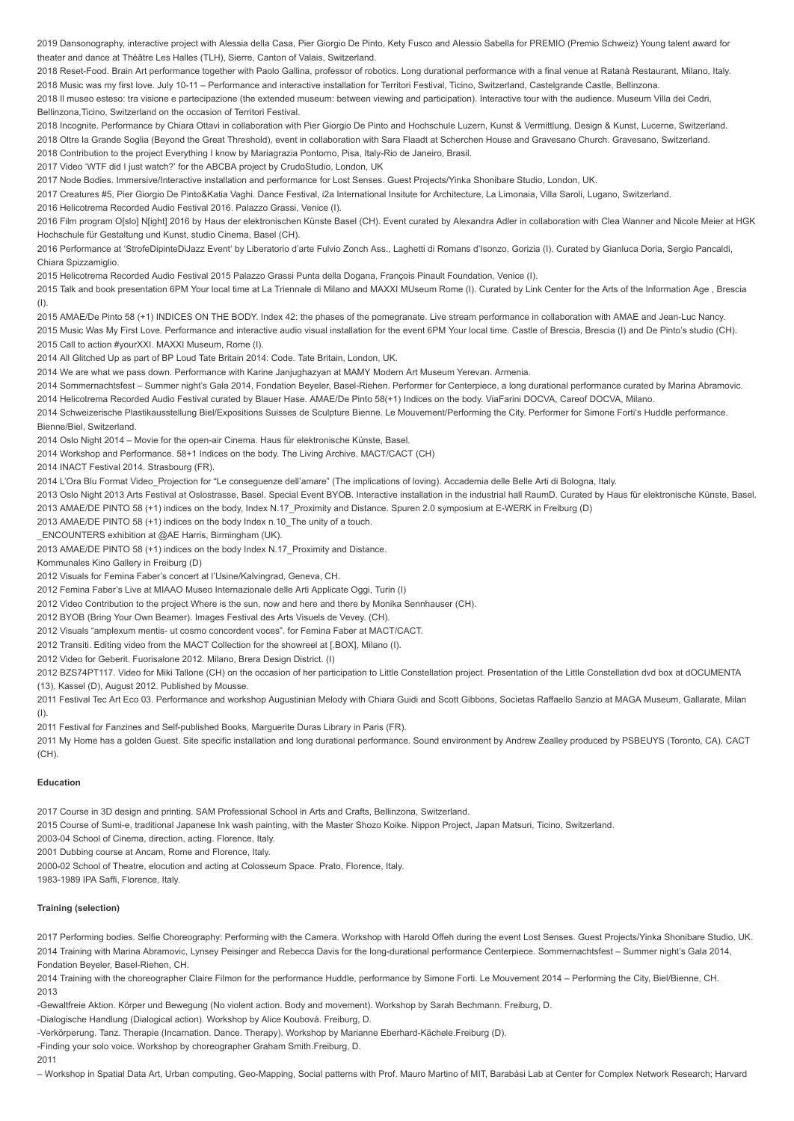2019 Dansonography, interactive project with Alessia della Casa, Pier Giorgio De Pinto, Kety Fusco and Alessio Sabella for PREMIO (Premio Schweiz) Young talent award for theater and dance at Théâtre Les Halles (TLH), Sierre, Canton of Valais, Switzerland.

2018 Reset-Food. Brain Art performance together with Paolo Gallina, professor of robotics. Long durational performance with a final venue at Ratanà Restaurant, Milano, Italy. 2018 Music was my first love. July 10-11 – Performance and interactive installation for Territori Festival, Ticino, Switzerland, Castelgrande Castle, Bellinzona.

2018 Il museo esteso: tra visione e partecipazione (the extended museum: between viewing and participation). Interactive tour with the audience. Museum Villa dei Cedri, Bellinzona,Ticino, Switzerland on the occasion of Territori Festival.

2018 Incognite. Performance by Chiara Ottavi in collaboration with Pier Giorgio De Pinto and Hochschule Luzern, Kunst & Vermittlung, Design & Kunst, Lucerne, Switzerland. 2018 Oltre la Grande Soglia (Beyond the Great Threshold), event in collaboration with Sara Flaadt at Scherchen House and Gravesano Church. Gravesano, Switzerland. 2018 Contribution to the project Everything I know by Mariagrazia Pontorno, Pisa, Italy-Rio de Janeiro, Brasil.

2017 Video 'WTF did I just watch?' for the ABCBA project by CrudoStudio, London, UK

2017 Node Bodies. Immersive/Interactive installation and performance for Lost Senses. Guest Projects/Yinka Shonibare Studio, London, UK.

2017 Creatures #5, Pier Giorgio De Pinto&Katia Vaghi. Dance Festival, i2a International Insitute for Architecture, La Limonaia, Villa Saroli, Lugano, Switzerland.

2016 Helicotrema Recorded Audio Festival 2016. Palazzo Grassi, Venice (I).

2016 Film program O[slo] N[ight] 2016 by Haus der elektronischen Künste Basel (CH). Event curated by Alexandra Adler in collaboration with Clea Wanner and Nicole Meier at HGK Hochschule für Gestaltung und Kunst, studio Cinema, Basel (CH).

2016 Performance at 'StrofeDipinteDiJazz Event' by Liberatorio d'arte Fulvio Zonch Ass., Laghetti di Romans d'Isonzo, Gorizia (I). Curated by Gianluca Doria, Sergio Pancaldi, Chiara Spizzamiglio.

2015 Helicotrema Recorded Audio Festival 2015 Palazzo Grassi Punta della Dogana, François Pinault Foundation, Venice (I).

2015 Talk and book presentation 6PM Your local time at La Triennale di Milano and MAXXI MUseum Rome (I). Curated by Link Center for the Arts of the Information Age , Brescia (I).

2015 AMAE/De Pinto 58 (+1) INDICES ON THE BODY. Index 42: the phases of the pomegranate. Live stream performance in collaboration with AMAE and Jean-Luc Nancy.

2015 Music Was My First Love. Performance and interactive audio visual installation for the event 6PM Your local time. Castle of Brescia, Brescia (I) and De Pinto's studio (CH). 2015 Call to action #yourXXI. MAXXI Museum, Rome (I).

2014 All Glitched Up as part of BP Loud Tate Britain 2014: Code. Tate Britain, London, UK.

2014 We are what we pass down. Performance with Karine Janjughazyan at MAMY Modern Art Museum Yerevan. Armenia.

2014 Sommernachtsfest – Summer night's Gala 2014, Fondation Beyeler, Basel-Riehen. Performer for Centerpiece, a long durational performance curated by Marina Abramovic. 2014 Helicotrema Recorded Audio Festival curated by Blauer Hase. AMAE/De Pinto 58(+1) Indices on the body. ViaFarini DOCVA, Careof DOCVA, Milano.

2014 Schweizerische Plastikausstellung Biel/Expositions Suisses de Sculpture Bienne. Le Mouvement/Performing the City. Performer for Simone Forti's Huddle performance.

Bienne/Biel, Switzerland.

2014 Oslo Night 2014 – Movie for the open-air Cinema. Haus für elektronische Künste, Basel.

2014 Workshop and Performance. 58+1 Indices on the body. The Living Archive. MACT/CACT (CH)

2014 INACT Festival 2014. Strasbourg (FR).

2014 L'Ora Blu Format Video\_Projection for "Le conseguenze dell'amare" (The implications of loving). Accademia delle Belle Arti di Bologna, Italy.

2013 Oslo Night 2013 Arts Festival at Oslostrasse, Basel. Special Event BYOB. Interactive installation in the industrial hall RaumD. Curated by Haus für elektronische Künste, Basel. 2013 AMAE/DE PINTO 58 (+1) indices on the body, Index N.17\_Proximity and Distance. Spuren 2.0 symposium at E-WERK in Freiburg (D)

2013 AMAE/DE PINTO 58 (+1) indices on the body Index n.10\_The unity of a touch.

\_ENCOUNTERS exhibition at @AE Harris, Birmingham (UK).

2013 AMAE/DE PINTO 58 (+1) indices on the body Index N.17\_Proximity and Distance.

Kommunales Kino Gallery in Freiburg (D)

2012 Visuals for Femina Faber's concert at l'Usine/Kalvingrad, Geneva, CH.

2012 Femina Faber's Live at MIAAO Museo Internazionale delle Arti Applicate Oggi, Turin (I)

2012 Video Contribution to the project Where is the sun, now and here and there by Monika Sennhauser (CH).

2012 BYOB (Bring Your Own Beamer). Images Festival des Arts Visuels de Vevey. (CH).

2012 Visuals "amplexum mentis- ut cosmo concordent voces". for Femina Faber at MACT/CACT.

2012 Transiti. Editing video from the MACT Collection for the showreel at [.BOX], Milano (I).

2012 Video for Geberit. Fuorisalone 2012. Milano, Brera Design District. (I)

2012 BZS74PT117. Video for Miki Tallone (CH) on the occasion of her participation to Little Constellation project. Presentation of the Little Constellation dvd box at dOCUMENTA

(13), Kassel (D), August 2012. Published by Mousse.

2011 Festival Tec Art Eco 03. Performance and workshop Augustinian Melody with Chiara Guidi and Scott Gibbons, Socìetas Raffaello Sanzio at MAGA Museum, Gallarate, Milan (I).

2011 Festival for Fanzines and Self-published Books, Marguerite Duras Library in Paris (FR).

2011 My Home has a golden Guest. Site specific installation and long durational performance. Sound environment by Andrew Zealley produced by PSBEUYS (Toronto, CA). CACT (CH).

#### **Education**

2017 Course in 3D design and printing. SAM Professional School in Arts and Crafts, Bellinzona, Switzerland.

2015 Course of Sumi-e, traditional Japanese Ink wash painting, with the Master Shozo Koike. Nippon Project, Japan Matsuri, Ticino, Switzerland.

2003-04 School of Cinema, direction, acting. Florence, Italy.

2001 Dubbing course at Ancam, Rome and Florence, Italy.

2000-02 School of Theatre, elocution and acting at Colosseum Space. Prato, Florence, Italy.

1983-1989 IPA Saffi, Florence, Italy.

# **Training (selection)**

2017 Performing bodies. Selfie Choreography: Performing with the Camera. Workshop with Harold Offeh during the event Lost Senses. Guest Projects/Yinka Shonibare Studio, UK. 2014 Training with Marina Abramovic, Lynsey Peisinger and Rebecca Davis for the long-durational performance Centerpiece. Sommernachtsfest – Summer night's Gala 2014, Fondation Beyeler, Basel-Riehen, CH.

2014 Training with the choreographer Claire Filmon for the performance Huddle, performance by Simone Forti. Le Mouvement 2014 – Performing the City, Biel/Bienne, CH. 2013

-Gewaltfreie Aktion. Körper und Bewegung (No violent action. Body and movement). Workshop by Sarah Bechmann. Freiburg, D.

-Dialogische Handlung (Dialogical action). Workshop by Alice Koubová. Freiburg, D.

-Verkörperung. Tanz. Therapie (Incarnation. Dance. Therapy). Workshop by Marianne Eberhard-Kächele.Freiburg (D).

-Finding your solo voice. Workshop by choreographer Graham Smith.Freiburg, D.

2011

– Workshop in Spatial Data Art, Urban computing, Geo-Mapping, Social patterns with Prof. Mauro Martino of MIT, Barabási Lab at Center for Complex Network Research; Harvard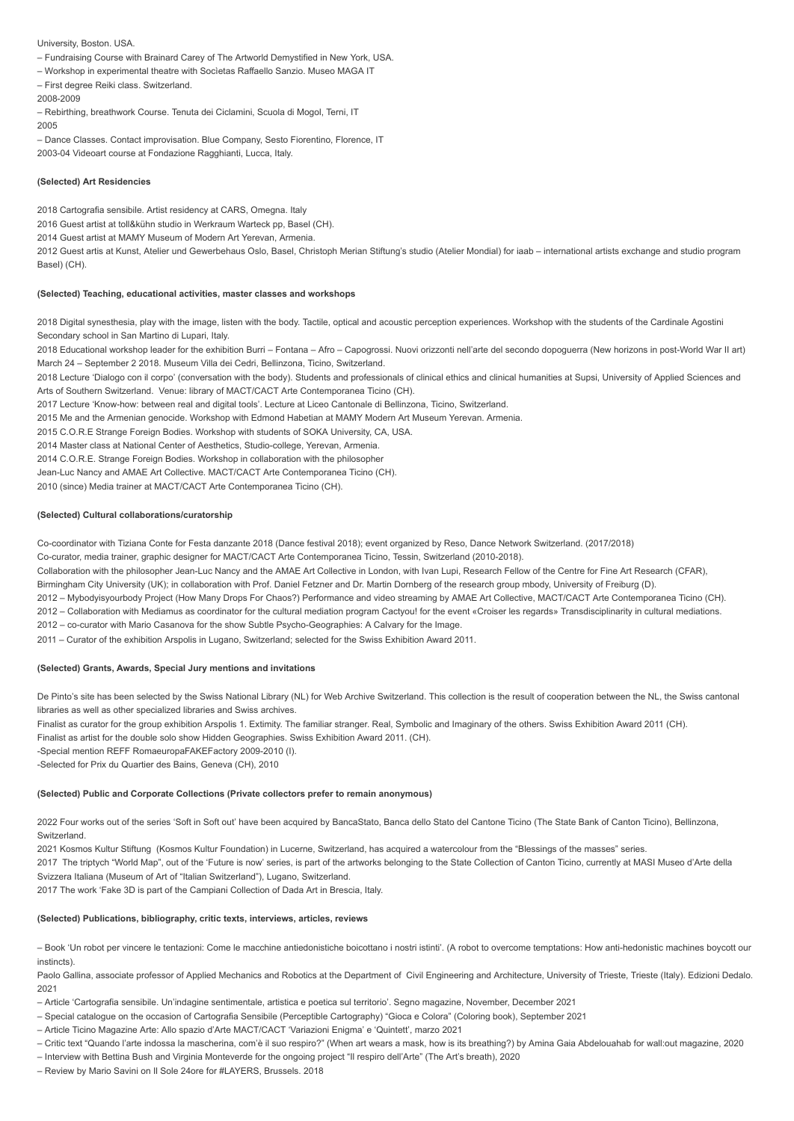University, Boston. USA.

- Fundraising Course with Brainard Carey of The Artworld Demystified in New York, USA.
- Workshop in experimental theatre with Socìetas Raffaello Sanzio. Museo MAGA IT
- First degree Reiki class. Switzerland.
- 2008-2009
- Rebirthing, breathwork Course. Tenuta dei Ciclamini, Scuola di Mogol, Terni, IT 2005

– Dance Classes. Contact improvisation. Blue Company, Sesto Fiorentino, Florence, IT 2003-04 Videoart course at Fondazione Ragghianti, Lucca, Italy.

#### **(Selected) Art Residencies**

2018 Cartografia sensibile. Artist residency at CARS, Omegna. Italy

2016 Guest artist at toll&kühn studio in Werkraum Warteck pp, Basel (CH).

2014 Guest artist at MAMY Museum of Modern Art Yerevan, Armenia.

2012 Guest artis at Kunst, Atelier und Gewerbehaus Oslo, Basel, Christoph Merian Stiftung's studio (Atelier Mondial) for iaab – international artists exchange and studio program Basel) (CH).

# **(Selected) Teaching, educational activities, master classes and workshops**

2018 Digital synesthesia, play with the image, listen with the body. Tactile, optical and acoustic perception experiences. Workshop with the students of the Cardinale Agostini Secondary school in San Martino di Lupari, Italy.

2018 Educational workshop leader for the exhibition Burri – Fontana – Afro – Capogrossi. Nuovi orizzonti nell'arte del secondo dopoguerra (New horizons in post-World War II art) March 24 – September 2 2018. Museum Villa dei Cedri, Bellinzona, Ticino, Switzerland.

2018 Lecture 'Dialogo con il corpo' (conversation with the body). Students and professionals of clinical ethics and clinical humanities at Supsi, University of Applied Sciences and Arts of Southern Switzerland. Venue: library of MACT/CACT Arte Contemporanea Ticino (CH).

2017 Lecture 'Know-how: between real and digital tools'. Lecture at Liceo Cantonale di Bellinzona, Ticino, Switzerland.

2015 Me and the Armenian genocide. Workshop with Edmond Habetian at MAMY Modern Art Museum Yerevan. Armenia.

2015 C.O.R.E Strange Foreign Bodies. Workshop with students of SOKA University, CA, USA.

2014 Master class at National Center of Aesthetics, Studio-college, Yerevan, Armenia.

2014 C.O.R.E. Strange Foreign Bodies. Workshop in collaboration with the philosopher

Jean-Luc Nancy and AMAE Art Collective. MACT/CACT Arte Contemporanea Ticino (CH).

2010 (since) Media trainer at MACT/CACT Arte Contemporanea Ticino (CH).

# **(Selected) Cultural collaborations/curatorship**

Co-coordinator with Tiziana Conte for Festa danzante 2018 (Dance festival 2018); event organized by Reso, Dance Network Switzerland. (2017/2018)

Co-curator, media trainer, graphic designer for MACT/CACT Arte Contemporanea Ticino, Tessin, Switzerland (2010-2018).

Collaboration with the philosopher Jean-Luc Nancy and the AMAE Art Collective in London, with Ivan Lupi, Research Fellow of the Centre for Fine Art Research (CFAR),

Birmingham City University (UK); in collaboration with Prof. Daniel Fetzner and Dr. Martin Dornberg of the research group mbody, University of Freiburg (D).

2012 – Mybodyisyourbody Project (How Many Drops For Chaos?) Performance and video streaming by AMAE Art Collective, MACT/CACT Arte Contemporanea Ticino (CH). 2012 – Collaboration with Mediamus as coordinator for the cultural mediation program Cactyou! for the event «Croiser les regards» Transdisciplinarity in cultural mediations.

2012 – co-curator with Mario Casanova for the show Subtle Psycho-Geographies: A Calvary for the Image.

2011 – Curator of the exhibition Arspolis in Lugano, Switzerland; selected for the Swiss Exhibition Award 2011.

# **(Selected) Grants, Awards, Special Jury mentions and invitations**

De Pinto's site has been selected by the Swiss National Library (NL) for Web Archive Switzerland. This collection is the result of cooperation between the NL, the Swiss cantonal libraries as well as other specialized libraries and Swiss archives.

Finalist as curator for the group exhibition Arspolis 1. Extimity. The familiar stranger. Real, Symbolic and Imaginary of the others. Swiss Exhibition Award 2011 (CH).

Finalist as artist for the double solo show Hidden Geographies. Swiss Exhibition Award 2011. (CH).

-Special mention REFF RomaeuropaFAKEFactory 2009-2010 (I).

-Selected for Prix du Quartier des Bains, Geneva (CH), 2010

#### **(Selected) Public and Corporate Collections (Private collectors prefer to remain anonymous)**

2022 Four works out of the series 'Soft in Soft out' have been acquired by BancaStato, Banca dello Stato del Cantone Ticino (The State Bank of Canton Ticino), Bellinzona, **Switzerland** 

2021 Kosmos Kultur Stiftung (Kosmos Kultur Foundation) in Lucerne, Switzerland, has acquired a watercolour from the "Blessings of the masses" series.

2017 The triptych "World Map", out of the 'Future is now' series, is part of the artworks belonging to the State Collection of Canton Ticino, currently at MASI Museo d'Arte della Svizzera Italiana (Museum of Art of "Italian Switzerland"), Lugano, Switzerland.

2017 The work 'Fake 3D is part of the Campiani Collection of Dada Art in Brescia, Italy.

#### **(Selected) Publications, bibliography, critic texts, interviews, articles, reviews**

– Book 'Un robot per vincere le tentazioni: Come le macchine antiedonistiche boicottano i nostri istinti'. (A robot to overcome temptations: How anti-hedonistic machines boycott our instincts).

Paolo Gallina, associate professor of Applied Mechanics and Robotics at the Department of Civil Engineering and Architecture, University of Trieste, Trieste (Italy). Edizioni Dedalo. 2021

– Article 'Cartografia sensibile. Un'indagine sentimentale, artistica e poetica sul territorio'. Segno magazine, November, December 2021

- Special catalogue on the occasion of Cartografia Sensibile (Perceptible Cartography) "Gioca e Colora" (Coloring book), September 2021
- Article Ticino Magazine Arte: Allo spazio d'Arte MACT/CACT 'Variazioni Enigma' e 'Quintett', marzo 2021
- Critic text "Quando l'arte indossa la mascherina, com'è il suo respiro?" (When art wears a mask, how is its breathing?) by Amina Gaia Abdelouahab for wall:out magazine, 2020
- Interview with Bettina Bush and Virginia Monteverde for the ongoing project "Il respiro dell'Arte" (The Art's breath), 2020
- Review by Mario Savini on Il Sole 24ore for #LAYERS, Brussels. 2018